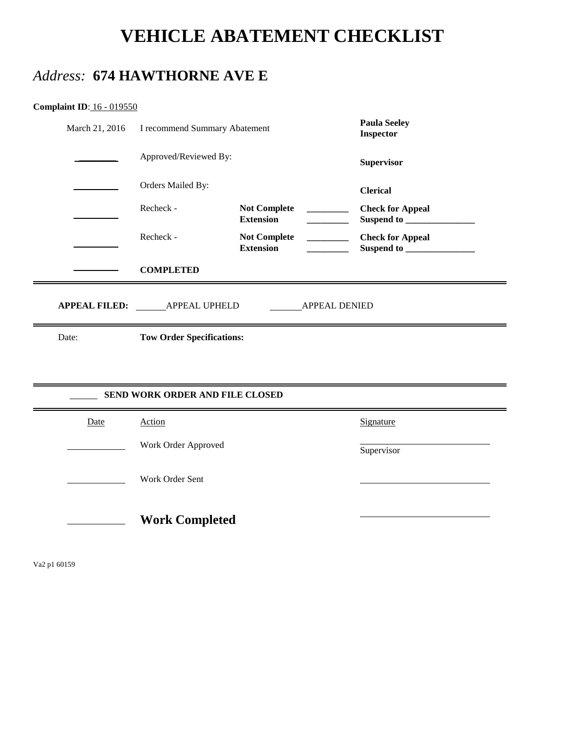# **VEHICLE ABATEMENT CHECKLIST**

### *Address:* **674 HAWTHORNE AVE E**

| <b>Complaint ID: 16 - 019550</b> |  |  |  |
|----------------------------------|--|--|--|
|----------------------------------|--|--|--|

| March 21, 2016                                              | I recommend Summary Abatement    |                                         | <b>Paula Seeley</b><br><b>Inspector</b> |  |  |  |  |
|-------------------------------------------------------------|----------------------------------|-----------------------------------------|-----------------------------------------|--|--|--|--|
|                                                             | Approved/Reviewed By:            |                                         | <b>Supervisor</b>                       |  |  |  |  |
|                                                             | Orders Mailed By:                |                                         | <b>Clerical</b>                         |  |  |  |  |
|                                                             | Recheck -                        | <b>Not Complete</b><br><b>Extension</b> | <b>Check for Appeal</b>                 |  |  |  |  |
|                                                             | Recheck -                        | <b>Not Complete</b><br><b>Extension</b> | <b>Check for Appeal</b>                 |  |  |  |  |
|                                                             | <b>COMPLETED</b>                 |                                         |                                         |  |  |  |  |
| APPEAL FILED: _______ APPEAL UPHELD<br><b>APPEAL DENIED</b> |                                  |                                         |                                         |  |  |  |  |
| Date:                                                       | <b>Tow Order Specifications:</b> |                                         |                                         |  |  |  |  |
|                                                             |                                  |                                         |                                         |  |  |  |  |
|                                                             | SEND WORK ORDER AND FILE CLOSED  |                                         |                                         |  |  |  |  |
| Date                                                        | Action                           |                                         | Signature                               |  |  |  |  |
|                                                             | Work Order Approved              |                                         | Supervisor                              |  |  |  |  |
|                                                             |                                  |                                         |                                         |  |  |  |  |
|                                                             | Work Order Sent                  |                                         |                                         |  |  |  |  |

Va2 p1 60159